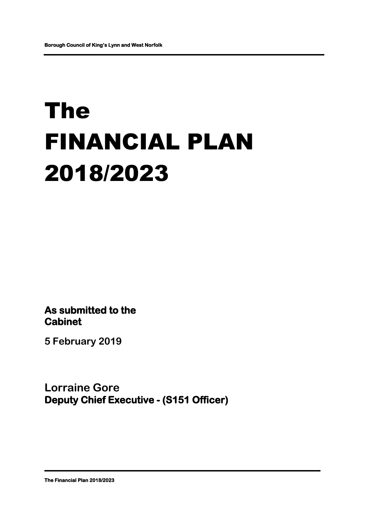# The FINANCIAL PLAN 2018/2023

**As submitted to the Cabinet** 

**5 February 2019**

**Lorraine Gore Deputy Chief Executive - (S151 Officer)**

**The Financial Plan 2018/2023**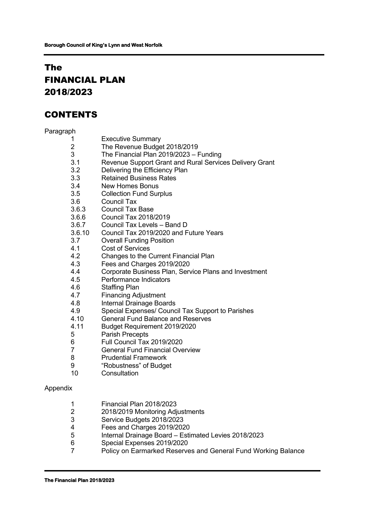# The FINANCIAL PLAN 2018/2023

# CONTENTS

#### Paragraph

- 1 Executive Summary<br>2 The Revenue Budge
- 2 The Revenue Budget 2018/2019
- 3 The Financial Plan 2019/2023 Funding
- 3.1 Revenue Support Grant and Rural Services Delivery Grant
- 3.2 Delivering the Efficiency Plan
- 3.3 Retained Business Rates
- 
- 3.4 New Homes Bonus<br>3.5 Collection Fund Sur Collection Fund Surplus
- 3.6 Council Tax
- 3.6.3 Council Tax Base
- 3.6.6 Council Tax 2018/2019
- 3.6.7 Council Tax Levels Band D
- 3.6.10 Council Tax 2019/2020 and Future Years
- 3.7 Overall Funding Position
- 4.1 Cost of Services<br>4.2 Changes to the C
- 4.2 Changes to the Current Financial Plan
- 4.3 Fees and Charges 2019/2020
- 4.4 Corporate Business Plan, Service Plans and Investment
- 4.5 Performance Indicators
- 4.6 Staffing Plan
- 4.7 Financing Adjustment
- 4.8 Internal Drainage Boards
- 4.9 Special Expenses/ Council Tax Support to Parishes
- 4.10 General Fund Balance and Reserves
- 4.11 Budget Requirement 2019/2020
- 5 Parish Precepts
- 6 Full Council Tax 2019/2020
- 7 General Fund Financial Overview
- 8 Prudential Framework
- 9 "Robustness" of Budget
- 10 Consultation

#### Appendix

- 1 Financial Plan 2018/2023
- 2 2018/2019 Monitoring Adjustments<br>3 Service Budgets 2018/2023
- 3 Service Budgets 2018/2023
- 4 Fees and Charges 2019/2020
- 5 Internal Drainage Board Estimated Levies 2018/2023
- 6 Special Expenses 2019/2020
- 7 Policy on Earmarked Reserves and General Fund Working Balance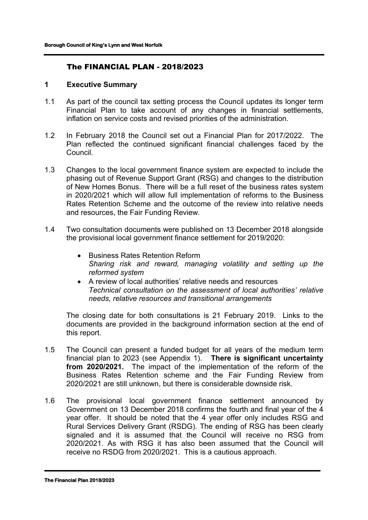# The FINANCIAL PLAN - 2018/2023

#### **1 Executive Summary**

- 1.1 As part of the council tax setting process the Council updates its longer term Financial Plan to take account of any changes in financial settlements, inflation on service costs and revised priorities of the administration.
- 1.2 In February 2018 the Council set out a Financial Plan for 2017/2022. The Plan reflected the continued significant financial challenges faced by the Council.
- 1.3 Changes to the local government finance system are expected to include the phasing out of Revenue Support Grant (RSG) and changes to the distribution of New Homes Bonus. There will be a full reset of the business rates system in 2020/2021 which will allow full implementation of reforms to the Business Rates Retention Scheme and the outcome of the review into relative needs and resources, the Fair Funding Review.
- 1.4 Two consultation documents were published on 13 December 2018 alongside the provisional local government finance settlement for 2019/2020:
	- Business Rates Retention Reform *Sharing risk and reward, managing volatility and setting up the reformed system*
	- A review of local authorities' relative needs and resources *Technical consultation on the assessment of local authorities' relative needs, relative resources and transitional arrangements*

The closing date for both consultations is 21 February 2019. Links to the documents are provided in the background information section at the end of this report.

- 1.5 The Council can present a funded budget for all years of the medium term financial plan to 2023 (see Appendix 1). **There is significant uncertainty from 2020/2021.** The impact of the implementation of the reform of the Business Rates Retention scheme and the Fair Funding Review from 2020/2021 are still unknown, but there is considerable downside risk.
- 1.6 The provisional local government finance settlement announced by Government on 13 December 2018 confirms the fourth and final year of the 4 year offer. It should be noted that the 4 year offer only includes RSG and Rural Services Delivery Grant (RSDG). The ending of RSG has been clearly signaled and it is assumed that the Council will receive no RSG from 2020/2021. As with RSG it has also been assumed that the Council will receive no RSDG from 2020/2021. This is a cautious approach.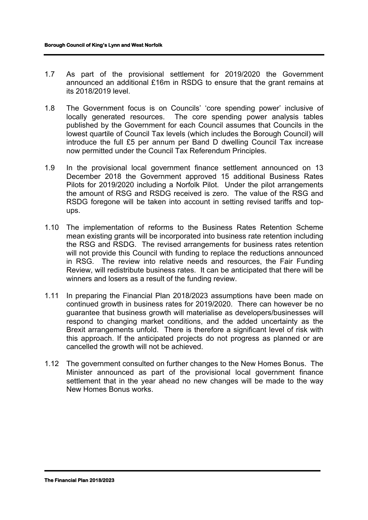- 1.7 As part of the provisional settlement for 2019/2020 the Government announced an additional £16m in RSDG to ensure that the grant remains at its 2018/2019 level.
- 1.8 The Government focus is on Councils' 'core spending power' inclusive of locally generated resources. The core spending power analysis tables published by the Government for each Council assumes that Councils in the lowest quartile of Council Tax levels (which includes the Borough Council) will introduce the full £5 per annum per Band D dwelling Council Tax increase now permitted under the Council Tax Referendum Principles.
- 1.9 In the provisional local government finance settlement announced on 13 December 2018 the Government approved 15 additional Business Rates Pilots for 2019/2020 including a Norfolk Pilot. Under the pilot arrangements the amount of RSG and RSDG received is zero. The value of the RSG and RSDG foregone will be taken into account in setting revised tariffs and topups.
- 1.10 The implementation of reforms to the Business Rates Retention Scheme mean existing grants will be incorporated into business rate retention including the RSG and RSDG. The revised arrangements for business rates retention will not provide this Council with funding to replace the reductions announced in RSG. The review into relative needs and resources, the Fair Funding Review, will redistribute business rates. It can be anticipated that there will be winners and losers as a result of the funding review.
- 1.11 In preparing the Financial Plan 2018/2023 assumptions have been made on continued growth in business rates for 2019/2020. There can however be no guarantee that business growth will materialise as developers/businesses will respond to changing market conditions, and the added uncertainty as the Brexit arrangements unfold. There is therefore a significant level of risk with this approach. If the anticipated projects do not progress as planned or are cancelled the growth will not be achieved.
- 1.12 The government consulted on further changes to the New Homes Bonus. The Minister announced as part of the provisional local government finance settlement that in the year ahead no new changes will be made to the way New Homes Bonus works.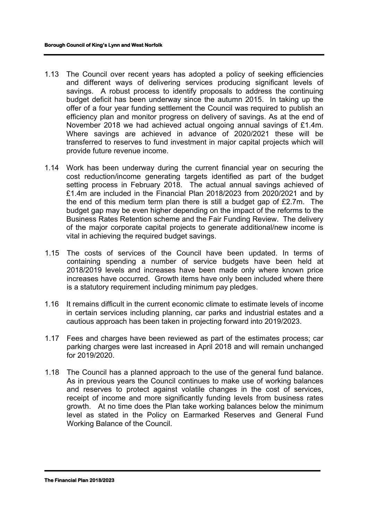- 1.13 The Council over recent years has adopted a policy of seeking efficiencies and different ways of delivering services producing significant levels of savings. A robust process to identify proposals to address the continuing budget deficit has been underway since the autumn 2015. In taking up the offer of a four year funding settlement the Council was required to publish an efficiency plan and monitor progress on delivery of savings. As at the end of November 2018 we had achieved actual ongoing annual savings of £1.4m. Where savings are achieved in advance of 2020/2021 these will be transferred to reserves to fund investment in major capital projects which will provide future revenue income.
- 1.14 Work has been underway during the current financial year on securing the cost reduction/income generating targets identified as part of the budget setting process in February 2018. The actual annual savings achieved of £1.4m are included in the Financial Plan 2018/2023 from 2020/2021 and by the end of this medium term plan there is still a budget gap of £2.7m. The budget gap may be even higher depending on the impact of the reforms to the Business Rates Retention scheme and the Fair Funding Review. The delivery of the major corporate capital projects to generate additional/new income is vital in achieving the required budget savings.
- 1.15 The costs of services of the Council have been updated. In terms of containing spending a number of service budgets have been held at 2018/2019 levels and increases have been made only where known price increases have occurred. Growth items have only been included where there is a statutory requirement including minimum pay pledges.
- 1.16 It remains difficult in the current economic climate to estimate levels of income in certain services including planning, car parks and industrial estates and a cautious approach has been taken in projecting forward into 2019/2023.
- 1.17 Fees and charges have been reviewed as part of the estimates process; car parking charges were last increased in April 2018 and will remain unchanged for 2019/2020.
- 1.18 The Council has a planned approach to the use of the general fund balance. As in previous years the Council continues to make use of working balances and reserves to protect against volatile changes in the cost of services, receipt of income and more significantly funding levels from business rates growth. At no time does the Plan take working balances below the minimum level as stated in the Policy on Earmarked Reserves and General Fund Working Balance of the Council.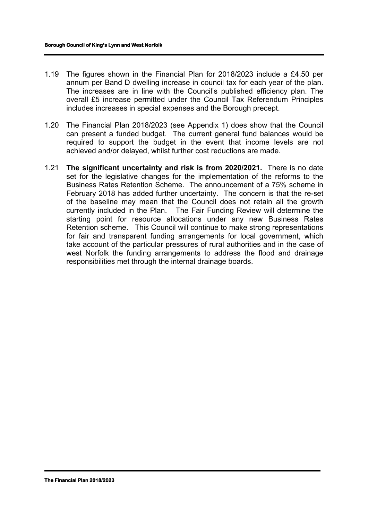- 1.19 The figures shown in the Financial Plan for 2018/2023 include a £4.50 per annum per Band D dwelling increase in council tax for each year of the plan. The increases are in line with the Council's published efficiency plan. The overall £5 increase permitted under the Council Tax Referendum Principles includes increases in special expenses and the Borough precept.
- 1.20 The Financial Plan 2018/2023 (see Appendix 1) does show that the Council can present a funded budget. The current general fund balances would be required to support the budget in the event that income levels are not achieved and/or delayed, whilst further cost reductions are made.
- 1.21 **The significant uncertainty and risk is from 2020/2021.** There is no date set for the legislative changes for the implementation of the reforms to the Business Rates Retention Scheme. The announcement of a 75% scheme in February 2018 has added further uncertainty. The concern is that the re-set of the baseline may mean that the Council does not retain all the growth currently included in the Plan. The Fair Funding Review will determine the starting point for resource allocations under any new Business Rates Retention scheme. This Council will continue to make strong representations for fair and transparent funding arrangements for local government, which take account of the particular pressures of rural authorities and in the case of west Norfolk the funding arrangements to address the flood and drainage responsibilities met through the internal drainage boards.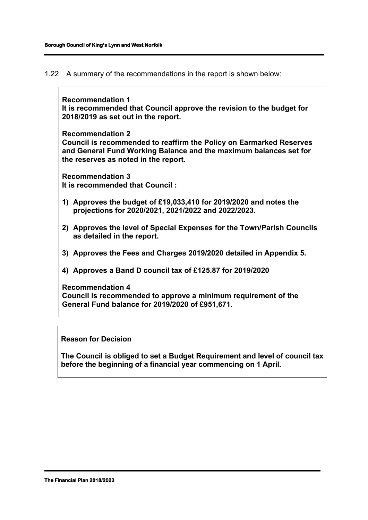1.22 A summary of the recommendations in the report is shown below:

**Recommendation 1 It is recommended that Council approve the revision to the budget for 2018/2019 as set out in the report.**

**Recommendation 2 Council is recommended to reaffirm the Policy on Earmarked Reserves and General Fund Working Balance and the maximum balances set for the reserves as noted in the report.** 

**Recommendation 3 It is recommended that Council :**

- **1) Approves the budget of £19,033,410 for 2019/2020 and notes the projections for 2020/2021, 2021/2022 and 2022/2023.**
- **2) Approves the level of Special Expenses for the Town/Parish Councils as detailed in the report.**
- **3) Approves the Fees and Charges 2019/2020 detailed in Appendix 5.**
- **4) Approves a Band D council tax of £125.87 for 2019/2020**

**Recommendation 4 Council is recommended to approve a minimum requirement of the General Fund balance for 2019/2020 of £951,671.**

# **Reason for Decision**

**The Council is obliged to set a Budget Requirement and level of council tax before the beginning of a financial year commencing on 1 April.**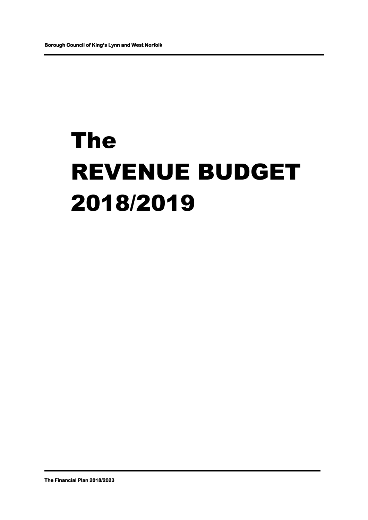# The REVENUE BUDGET 2018/2019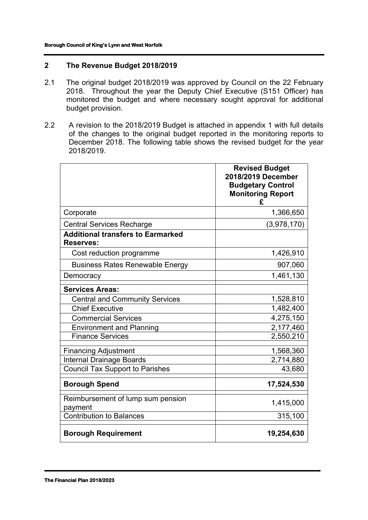# **2 The Revenue Budget 2018/2019**

- 2.1 The original budget 2018/2019 was approved by Council on the 22 February 2018. Throughout the year the Deputy Chief Executive (S151 Officer) has monitored the budget and where necessary sought approval for additional budget provision.
- 2.2 A revision to the 2018/2019 Budget is attached in appendix 1 with full details of the changes to the original budget reported in the monitoring reports to December 2018. The following table shows the revised budget for the year 2018/2019.

|                                                              | <b>Revised Budget</b><br>2018/2019 December<br><b>Budgetary Control</b><br><b>Monitoring Report</b><br>£ |
|--------------------------------------------------------------|----------------------------------------------------------------------------------------------------------|
| Corporate                                                    | 1,366,650                                                                                                |
| <b>Central Services Recharge</b>                             | (3,978,170)                                                                                              |
| <b>Additional transfers to Earmarked</b><br><b>Reserves:</b> |                                                                                                          |
| Cost reduction programme                                     | 1,426,910                                                                                                |
| <b>Business Rates Renewable Energy</b>                       | 907,060                                                                                                  |
| Democracy                                                    | 1,461,130                                                                                                |
| <b>Services Areas:</b>                                       |                                                                                                          |
| <b>Central and Community Services</b>                        | 1,528,810                                                                                                |
| <b>Chief Executive</b>                                       | 1,482,400                                                                                                |
| <b>Commercial Services</b>                                   | 4,275,150                                                                                                |
| <b>Environment and Planning</b>                              | 2,177,460                                                                                                |
| <b>Finance Services</b>                                      | 2,550,210                                                                                                |
| <b>Financing Adjustment</b>                                  | 1,568,360                                                                                                |
| <b>Internal Drainage Boards</b>                              | 2,714,880                                                                                                |
| <b>Council Tax Support to Parishes</b>                       | 43,680                                                                                                   |
| <b>Borough Spend</b>                                         | 17,524,530                                                                                               |
| Reimbursement of lump sum pension<br>payment                 | 1,415,000                                                                                                |
| <b>Contribution to Balances</b>                              | 315,100                                                                                                  |
| <b>Borough Requirement</b>                                   | 19,254,630                                                                                               |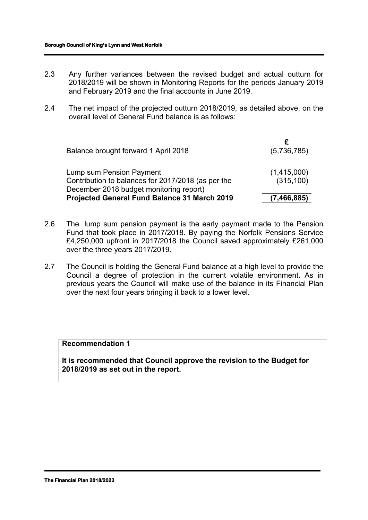- 2.3 Any further variances between the revised budget and actual outturn for 2018/2019 will be shown in Monitoring Reports for the periods January 2019 and February 2019 and the final accounts in June 2019.
- 2.4 The net impact of the projected outturn 2018/2019, as detailed above, on the overall level of General Fund balance is as follows:

| Balance brought forward 1 April 2018                                                                                      | (5,736,785)               |
|---------------------------------------------------------------------------------------------------------------------------|---------------------------|
| Lump sum Pension Payment<br>Contribution to balances for 2017/2018 (as per the<br>December 2018 budget monitoring report) | (1,415,000)<br>(315, 100) |
| Projected General Fund Balance 31 March 2019                                                                              | (7, 466, 885)             |

- 2.6 The lump sum pension payment is the early payment made to the Pension Fund that took place in 2017/2018. By paying the Norfolk Pensions Service £4,250,000 upfront in 2017/2018 the Council saved approximately £261,000 over the three years 2017/2019.
- 2.7 The Council is holding the General Fund balance at a high level to provide the Council a degree of protection in the current volatile environment. As in previous years the Council will make use of the balance in its Financial Plan over the next four years bringing it back to a lower level.

#### **Recommendation 1**

**It is recommended that Council approve the revision to the Budget for 2018/2019 as set out in the report.**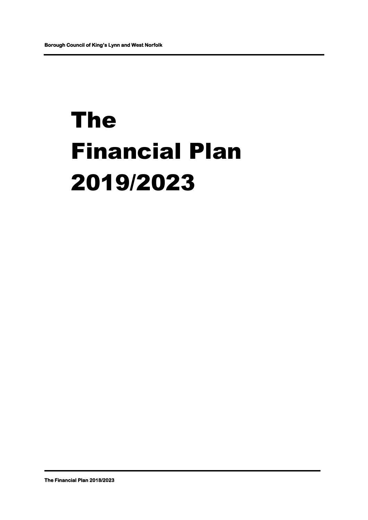# The Financial Plan 2019/2023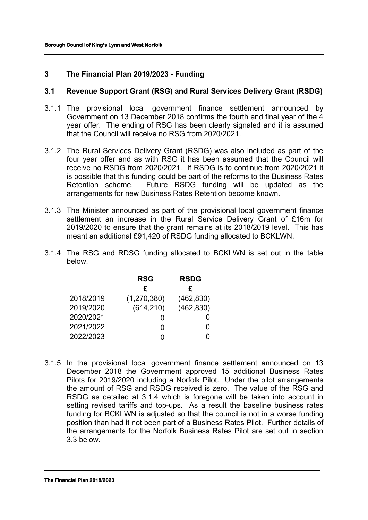# **3 The Financial Plan 2019/2023 - Funding**

#### **3.1 Revenue Support Grant (RSG) and Rural Services Delivery Grant (RSDG)**

- 3.1.1 The provisional local government finance settlement announced by Government on 13 December 2018 confirms the fourth and final year of the 4 year offer. The ending of RSG has been clearly signaled and it is assumed that the Council will receive no RSG from 2020/2021.
- 3.1.2 The Rural Services Delivery Grant (RSDG) was also included as part of the four year offer and as with RSG it has been assumed that the Council will receive no RSDG from 2020/2021. If RSDG is to continue from 2020/2021 it is possible that this funding could be part of the reforms to the Business Rates Retention scheme. Future RSDG funding will be updated as the arrangements for new Business Rates Retention become known.
- 3.1.3 The Minister announced as part of the provisional local government finance settlement an increase in the Rural Service Delivery Grant of £16m for 2019/2020 to ensure that the grant remains at its 2018/2019 level. This has meant an additional £91,420 of RSDG funding allocated to BCKLWN.
- 3.1.4 The RSG and RDSG funding allocated to BCKLWN is set out in the table below.

|           | <b>RSG</b>  | <b>RSDG</b> |
|-----------|-------------|-------------|
|           | £           | £           |
| 2018/2019 | (1,270,380) | (462, 830)  |
| 2019/2020 | (614, 210)  | (462, 830)  |
| 2020/2021 |             |             |
| 2021/2022 | ი           | 0           |
| 2022/2023 |             |             |
|           |             |             |

3.1.5 In the provisional local government finance settlement announced on 13 December 2018 the Government approved 15 additional Business Rates Pilots for 2019/2020 including a Norfolk Pilot. Under the pilot arrangements the amount of RSG and RSDG received is zero. The value of the RSG and RSDG as detailed at 3.1.4 which is foregone will be taken into account in setting revised tariffs and top-ups. As a result the baseline business rates funding for BCKLWN is adjusted so that the council is not in a worse funding position than had it not been part of a Business Rates Pilot. Further details of the arrangements for the Norfolk Business Rates Pilot are set out in section 3.3 below.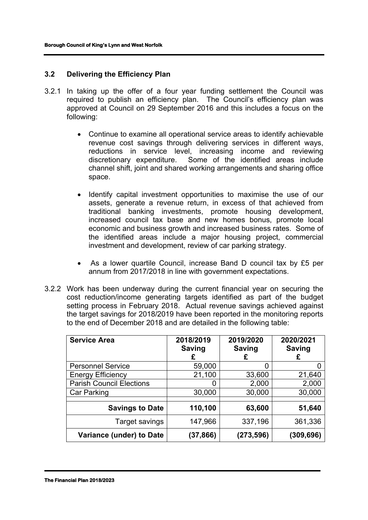#### **3.2 Delivering the Efficiency Plan**

- 3.2.1 In taking up the offer of a four year funding settlement the Council was required to publish an efficiency plan. The Council's efficiency plan was approved at Council on 29 September 2016 and this includes a focus on the following:
	- Continue to examine all operational service areas to identify achievable revenue cost savings through delivering services in different ways, reductions in service level, increasing income and reviewing discretionary expenditure. Some of the identified areas include channel shift, joint and shared working arrangements and sharing office space.
	- Identify capital investment opportunities to maximise the use of our assets, generate a revenue return, in excess of that achieved from traditional banking investments, promote housing development, increased council tax base and new homes bonus, promote local economic and business growth and increased business rates. Some of the identified areas include a major housing project, commercial investment and development, review of car parking strategy.
	- As a lower quartile Council, increase Band D council tax by £5 per annum from 2017/2018 in line with government expectations.
- 3.2.2 Work has been underway during the current financial year on securing the cost reduction/income generating targets identified as part of the budget setting process in February 2018. Actual revenue savings achieved against the target savings for 2018/2019 have been reported in the monitoring reports to the end of December 2018 and are detailed in the following table:

| <b>Service Area</b>             | 2018/2019<br><b>Saving</b><br>£ | 2019/2020<br><b>Saving</b><br>£ | 2020/2021<br><b>Saving</b><br>£ |
|---------------------------------|---------------------------------|---------------------------------|---------------------------------|
| <b>Personnel Service</b>        | 59,000                          | 0                               | O                               |
| <b>Energy Efficiency</b>        | 21,100                          | 33,600                          | 21,640                          |
| <b>Parish Council Elections</b> |                                 | 2,000                           | 2,000                           |
| Car Parking                     | 30,000                          | 30,000                          | 30,000                          |
| <b>Savings to Date</b>          | 110,100                         | 63,600                          | 51,640                          |
| Target savings                  | 147,966                         | 337,196                         | 361,336                         |
| Variance (under) to Date        | (37,866)                        | (273,596)                       | (309,696)                       |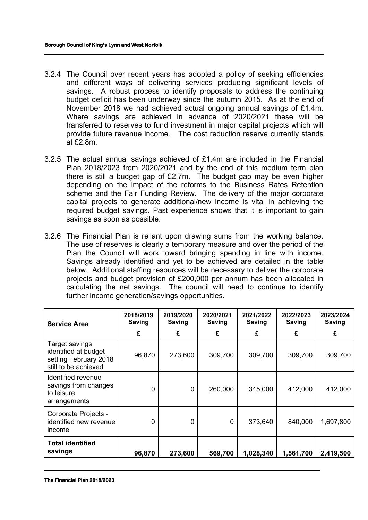- 3.2.4 The Council over recent years has adopted a policy of seeking efficiencies and different ways of delivering services producing significant levels of savings. A robust process to identify proposals to address the continuing budget deficit has been underway since the autumn 2015. As at the end of November 2018 we had achieved actual ongoing annual savings of £1.4m. Where savings are achieved in advance of 2020/2021 these will be transferred to reserves to fund investment in major capital projects which will provide future revenue income. The cost reduction reserve currently stands at £2.8m.
- 3.2.5 The actual annual savings achieved of £1.4m are included in the Financial Plan 2018/2023 from 2020/2021 and by the end of this medium term plan there is still a budget gap of £2.7m. The budget gap may be even higher depending on the impact of the reforms to the Business Rates Retention scheme and the Fair Funding Review. The delivery of the major corporate capital projects to generate additional/new income is vital in achieving the required budget savings. Past experience shows that it is important to gain savings as soon as possible.
- 3.2.6 The Financial Plan is reliant upon drawing sums from the working balance. The use of reserves is clearly a temporary measure and over the period of the Plan the Council will work toward bringing spending in line with income. Savings already identified and yet to be achieved are detailed in the table below. Additional staffing resources will be necessary to deliver the corporate projects and budget provision of £200,000 per annum has been allocated in calculating the net savings. The council will need to continue to identify further income generation/savings opportunities.

| <b>Service Area</b>                                                                     | 2018/2019<br><b>Saving</b> | 2019/2020<br><b>Saving</b> | 2020/2021<br><b>Saving</b> | 2021/2022<br><b>Saving</b> | 2022/2023<br><b>Saving</b> | 2023/2024<br><b>Saving</b> |
|-----------------------------------------------------------------------------------------|----------------------------|----------------------------|----------------------------|----------------------------|----------------------------|----------------------------|
|                                                                                         | £                          | £                          | £                          | £                          | £                          | £                          |
| Target savings<br>identified at budget<br>setting February 2018<br>still to be achieved | 96,870                     | 273,600                    | 309,700                    | 309,700                    | 309,700                    | 309,700                    |
| Identified revenue<br>savings from changes<br>to leisure<br>arrangements                | 0                          | $\mathbf 0$                | 260,000                    | 345,000                    | 412,000                    | 412,000                    |
| Corporate Projects -<br>identified new revenue<br>income                                | 0                          | 0                          | 0                          | 373,640                    | 840,000                    | 1,697,800                  |
| <b>Total identified</b><br>savings                                                      | 96,870                     | 273,600                    | 569,700                    | 1,028,340                  | 1,561,700                  | 2,419,500                  |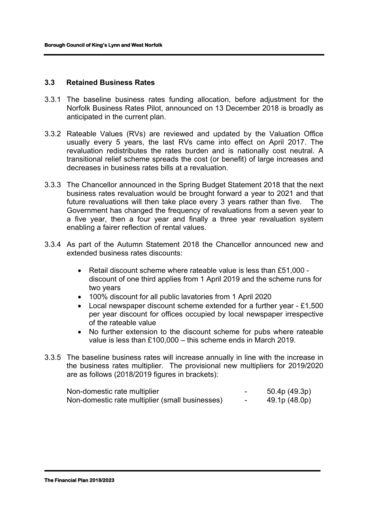#### **3.3 Retained Business Rates**

- 3.3.1 The baseline business rates funding allocation, before adjustment for the Norfolk Business Rates Pilot, announced on 13 December 2018 is broadly as anticipated in the current plan.
- 3.3.2 Rateable Values (RVs) are reviewed and updated by the Valuation Office usually every 5 years, the last RVs came into effect on April 2017. The revaluation redistributes the rates burden and is nationally cost neutral. A transitional relief scheme spreads the cost (or benefit) of large increases and decreases in business rates bills at a revaluation.
- 3.3.3 The Chancellor announced in the Spring Budget Statement 2018 that the next business rates revaluation would be brought forward a year to 2021 and that future revaluations will then take place every 3 years rather than five. The Government has changed the frequency of revaluations from a seven year to a five year, then a four year and finally a three year revaluation system enabling a fairer reflection of rental values.
- 3.3.4 As part of the Autumn Statement 2018 the Chancellor announced new and extended business rates discounts:
	- Retail discount scheme where rateable value is less than £51,000 discount of one third applies from 1 April 2019 and the scheme runs for two years
	- 100% discount for all public lavatories from 1 April 2020
	- Local newspaper discount scheme extended for a further year £1,500 per year discount for offices occupied by local newspaper irrespective of the rateable value
	- No further extension to the discount scheme for pubs where rateable value is less than £100,000 – this scheme ends in March 2019.
- 3.3.5 The baseline business rates will increase annually in line with the increase in the business rates multiplier. The provisional new multipliers for 2019/2020 are as follows (2018/2019 figures in brackets):

| Non-domestic rate multiplier                    | - | 50.4p (49.3p) |
|-------------------------------------------------|---|---------------|
| Non-domestic rate multiplier (small businesses) | - | 49.1p (48.0p) |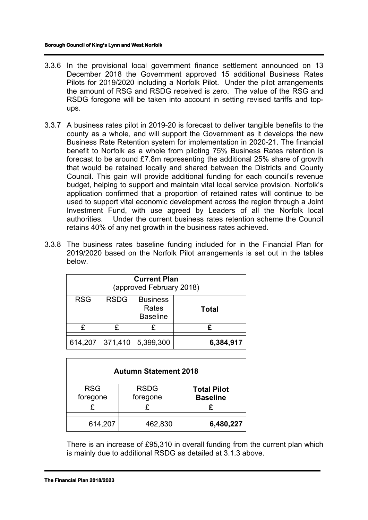- 3.3.6 In the provisional local government finance settlement announced on 13 December 2018 the Government approved 15 additional Business Rates Pilots for 2019/2020 including a Norfolk Pilot. Under the pilot arrangements the amount of RSG and RSDG received is zero. The value of the RSG and RSDG foregone will be taken into account in setting revised tariffs and topups.
- 3.3.7 A business rates pilot in 2019-20 is forecast to deliver tangible benefits to the county as a whole, and will support the Government as it develops the new Business Rate Retention system for implementation in 2020-21. The financial benefit to Norfolk as a whole from piloting 75% Business Rates retention is forecast to be around £7.8m representing the additional 25% share of growth that would be retained locally and shared between the Districts and County Council. This gain will provide additional funding for each council's revenue budget, helping to support and maintain vital local service provision. Norfolk's application confirmed that a proportion of retained rates will continue to be used to support vital economic development across the region through a Joint Investment Fund, with use agreed by Leaders of all the Norfolk local authorities. Under the current business rates retention scheme the Council retains 40% of any net growth in the business rates achieved.
- 3.3.8 The business rates baseline funding included for in the Financial Plan for 2019/2020 based on the Norfolk Pilot arrangements is set out in the tables below.

| <b>Current Plan</b><br>(approved February 2018) |             |                                             |              |
|-------------------------------------------------|-------------|---------------------------------------------|--------------|
| <b>RSG</b>                                      | <b>RSDG</b> | <b>Business</b><br>Rates<br><b>Baseline</b> | <b>Total</b> |
| £                                               | £           | £                                           | £            |
| 614,207                                         | 371,410     | 5,399,300                                   | 6,384,917    |

| <b>Autumn Statement 2018</b> |             |                    |  |
|------------------------------|-------------|--------------------|--|
| <b>RSG</b>                   | <b>RSDG</b> | <b>Total Pilot</b> |  |
| foregone                     | foregone    | <b>Baseline</b>    |  |
|                              |             |                    |  |
| 614,207                      | 462,830     | 6,480,227          |  |

There is an increase of £95,310 in overall funding from the current plan which is mainly due to additional RSDG as detailed at 3.1.3 above.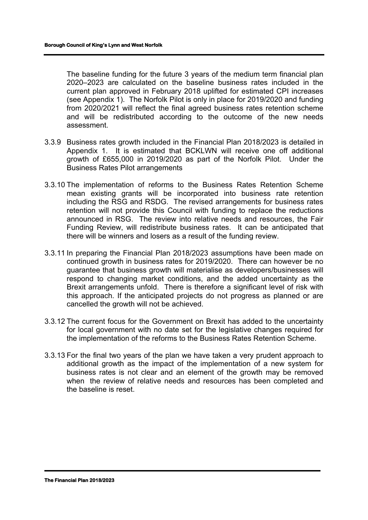The baseline funding for the future 3 years of the medium term financial plan 2020–2023 are calculated on the baseline business rates included in the current plan approved in February 2018 uplifted for estimated CPI increases (see Appendix 1). The Norfolk Pilot is only in place for 2019/2020 and funding from 2020/2021 will reflect the final agreed business rates retention scheme and will be redistributed according to the outcome of the new needs assessment.

- 3.3.9 Business rates growth included in the Financial Plan 2018/2023 is detailed in Appendix 1. It is estimated that BCKLWN will receive one off additional growth of £655,000 in 2019/2020 as part of the Norfolk Pilot. Under the Business Rates Pilot arrangements
- 3.3.10 The implementation of reforms to the Business Rates Retention Scheme mean existing grants will be incorporated into business rate retention including the RSG and RSDG. The revised arrangements for business rates retention will not provide this Council with funding to replace the reductions announced in RSG. The review into relative needs and resources, the Fair Funding Review, will redistribute business rates. It can be anticipated that there will be winners and losers as a result of the funding review.
- 3.3.11 In preparing the Financial Plan 2018/2023 assumptions have been made on continued growth in business rates for 2019/2020. There can however be no guarantee that business growth will materialise as developers/businesses will respond to changing market conditions, and the added uncertainty as the Brexit arrangements unfold. There is therefore a significant level of risk with this approach. If the anticipated projects do not progress as planned or are cancelled the growth will not be achieved.
- 3.3.12 The current focus for the Government on Brexit has added to the uncertainty for local government with no date set for the legislative changes required for the implementation of the reforms to the Business Rates Retention Scheme.
- 3.3.13 For the final two years of the plan we have taken a very prudent approach to additional growth as the impact of the implementation of a new system for business rates is not clear and an element of the growth may be removed when the review of relative needs and resources has been completed and the baseline is reset.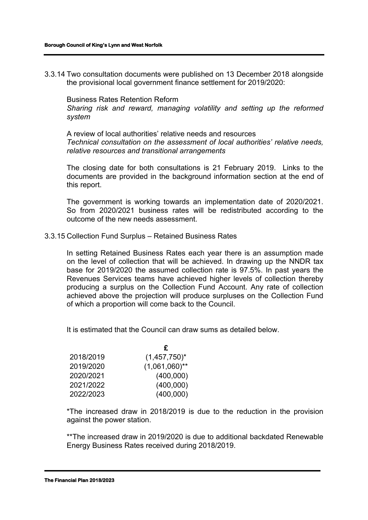3.3.14 Two consultation documents were published on 13 December 2018 alongside the provisional local government finance settlement for 2019/2020:

Business Rates Retention Reform *Sharing risk and reward, managing volatility and setting up the reformed system*

A review of local authorities' relative needs and resources *Technical consultation on the assessment of local authorities' relative needs, relative resources and transitional arrangements*

The closing date for both consultations is 21 February 2019. Links to the documents are provided in the background information section at the end of this report.

The government is working towards an implementation date of 2020/2021. So from 2020/2021 business rates will be redistributed according to the outcome of the new needs assessment.

#### 3.3.15 Collection Fund Surplus – Retained Business Rates

In setting Retained Business Rates each year there is an assumption made on the level of collection that will be achieved. In drawing up the NNDR tax base for 2019/2020 the assumed collection rate is 97.5%. In past years the Revenues Services teams have achieved higher levels of collection thereby producing a surplus on the Collection Fund Account. Any rate of collection achieved above the projection will produce surpluses on the Collection Fund of which a proportion will come back to the Council.

It is estimated that the Council can draw sums as detailed below.

|           | £                |
|-----------|------------------|
| 2018/2019 | $(1,457,750)^*$  |
| 2019/2020 | $(1,061,060)$ ** |
| 2020/2021 | (400,000)        |
| 2021/2022 | (400,000)        |
| 2022/2023 | (400,000)        |

\*The increased draw in 2018/2019 is due to the reduction in the provision against the power station.

\*\*The increased draw in 2019/2020 is due to additional backdated Renewable Energy Business Rates received during 2018/2019.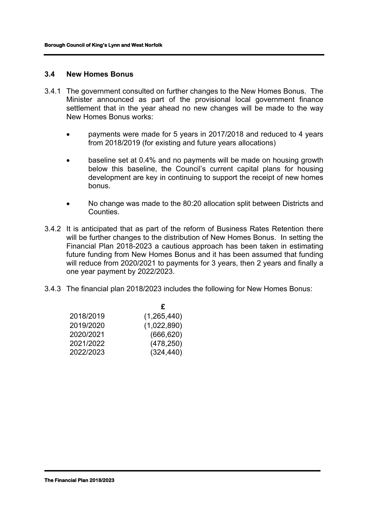#### **3.4 New Homes Bonus**

- 3.4.1 The government consulted on further changes to the New Homes Bonus. The Minister announced as part of the provisional local government finance settlement that in the year ahead no new changes will be made to the way New Homes Bonus works:
	- payments were made for 5 years in 2017/2018 and reduced to 4 years from 2018/2019 (for existing and future years allocations)
	- baseline set at 0.4% and no payments will be made on housing growth below this baseline, the Council's current capital plans for housing development are key in continuing to support the receipt of new homes bonus.
	- No change was made to the 80:20 allocation split between Districts and **Counties**
- 3.4.2 It is anticipated that as part of the reform of Business Rates Retention there will be further changes to the distribution of New Homes Bonus. In setting the Financial Plan 2018-2023 a cautious approach has been taken in estimating future funding from New Homes Bonus and it has been assumed that funding will reduce from 2020/2021 to payments for 3 years, then 2 years and finally a one year payment by 2022/2023.
- 3.4.3 The financial plan 2018/2023 includes the following for New Homes Bonus:

|           | £           |
|-----------|-------------|
| 2018/2019 | (1,265,440) |
| 2019/2020 | (1,022,890) |
| 2020/2021 | (666, 620)  |
| 2021/2022 | (478, 250)  |
| 2022/2023 | (324, 440)  |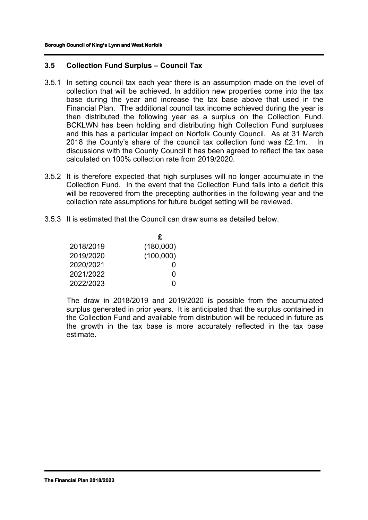# **3.5 Collection Fund Surplus – Council Tax**

- 3.5.1 In setting council tax each year there is an assumption made on the level of collection that will be achieved. In addition new properties come into the tax base during the year and increase the tax base above that used in the Financial Plan. The additional council tax income achieved during the year is then distributed the following year as a surplus on the Collection Fund. BCKLWN has been holding and distributing high Collection Fund surpluses and this has a particular impact on Norfolk County Council. As at 31 March 2018 the County's share of the council tax collection fund was £2.1m. In discussions with the County Council it has been agreed to reflect the tax base calculated on 100% collection rate from 2019/2020.
- 3.5.2 It is therefore expected that high surpluses will no longer accumulate in the Collection Fund. In the event that the Collection Fund falls into a deficit this will be recovered from the precepting authorities in the following year and the collection rate assumptions for future budget setting will be reviewed.
- 3.5.3 It is estimated that the Council can draw sums as detailed below.

|           | £                 |
|-----------|-------------------|
| 2018/2019 | (180,000)         |
| 2019/2020 | (100,000)         |
| 2020/2021 | $\mathbf{\Omega}$ |
| 2021/2022 | O                 |
| 2022/2023 | O                 |

The draw in 2018/2019 and 2019/2020 is possible from the accumulated surplus generated in prior years. It is anticipated that the surplus contained in the Collection Fund and available from distribution will be reduced in future as the growth in the tax base is more accurately reflected in the tax base estimate.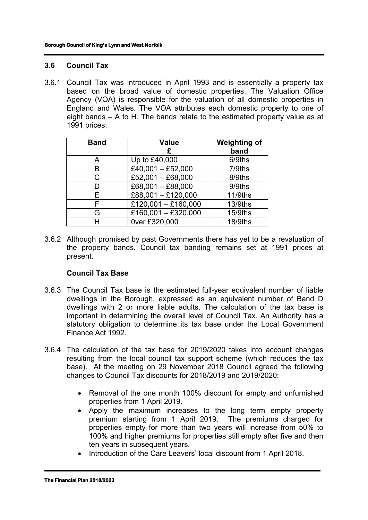# **3.6 Council Tax**

3.6.1 Council Tax was introduced in April 1993 and is essentially a property tax based on the broad value of domestic properties. The Valuation Office Agency (VOA) is responsible for the valuation of all domestic properties in England and Wales. The VOA attributes each domestic property to one of eight bands – A to H. The bands relate to the estimated property value as at 1991 prices:

| <b>Band</b> | <b>Value</b><br>£   | <b>Weighting of</b><br>band |
|-------------|---------------------|-----------------------------|
| A           | Up to £40,000       | 6/9ths                      |
| в           | £40,001 - £52,000   | 7/9ths                      |
| C           | £52,001 $-$ £68,000 | 8/9ths                      |
| D           | $£68,001 - £88,000$ | 9/9ths                      |
| Е           | £88,001 - £120,000  | 11/9ths                     |
| F           | £120,001 - £160,000 | 13/9ths                     |
| G           | £160,001 - £320,000 | 15/9ths                     |
|             | 0ver £320,000       | 18/9ths                     |

3.6.2 Although promised by past Governments there has yet to be a revaluation of the property bands. Council tax banding remains set at 1991 prices at present.

# **Council Tax Base**

- 3.6.3 The Council Tax base is the estimated full-year equivalent number of liable dwellings in the Borough, expressed as an equivalent number of Band D dwellings with 2 or more liable adults. The calculation of the tax base is important in determining the overall level of Council Tax. An Authority has a statutory obligation to determine its tax base under the Local Government Finance Act 1992.
- 3.6.4 The calculation of the tax base for 2019/2020 takes into account changes resulting from the local council tax support scheme (which reduces the tax base). At the meeting on 29 November 2018 Council agreed the following changes to Council Tax discounts for 2018/2019 and 2019/2020:
	- Removal of the one month 100% discount for empty and unfurnished properties from 1 April 2019.
	- Apply the maximum increases to the long term empty property premium starting from 1 April 2019. The premiums charged for properties empty for more than two years will increase from 50% to 100% and higher premiums for properties still empty after five and then ten years in subsequent years.
	- Introduction of the Care Leavers' local discount from 1 April 2018.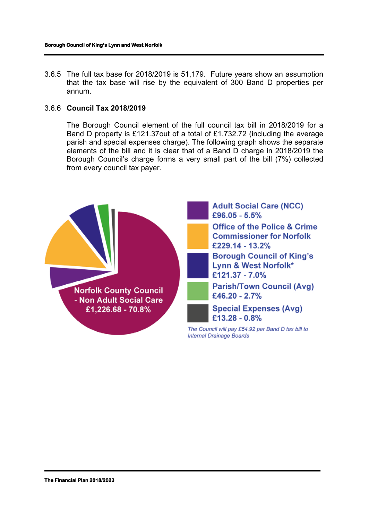3.6.5 The full tax base for 2018/2019 is 51,179. Future years show an assumption that the tax base will rise by the equivalent of 300 Band D properties per annum.

#### 3.6.6 **Council Tax 2018/2019**

The Borough Council element of the full council tax bill in 2018/2019 for a Band D property is £121.37out of a total of £1,732.72 (including the average parish and special expenses charge). The following graph shows the separate elements of the bill and it is clear that of a Band D charge in 2018/2019 the Borough Council's charge forms a very small part of the bill (7%) collected from every council tax payer.

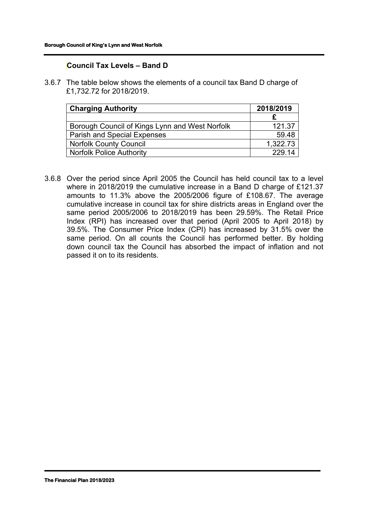# **Council Tax Levels – Band D**

3.6.7 The table below shows the elements of a council tax Band D charge of £1,732.72 for 2018/2019.

| <b>Charging Authority</b>                      | 2018/2019 |
|------------------------------------------------|-----------|
|                                                |           |
| Borough Council of Kings Lynn and West Norfolk | 121.37    |
| <b>Parish and Special Expenses</b>             | 59.48     |
| <b>Norfolk County Council</b>                  | 1,322.73  |
| <b>Norfolk Police Authority</b>                | 229.14    |

3.6.8 Over the period since April 2005 the Council has held council tax to a level where in 2018/2019 the cumulative increase in a Band D charge of £121.37 amounts to 11.3% above the 2005/2006 figure of £108.67. The average cumulative increase in council tax for shire districts areas in England over the same period 2005/2006 to 2018/2019 has been 29.59%. The Retail Price Index (RPI) has increased over that period (April 2005 to April 2018) by 39.5%. The Consumer Price Index (CPI) has increased by 31.5% over the same period. On all counts the Council has performed better. By holding down council tax the Council has absorbed the impact of inflation and not passed it on to its residents.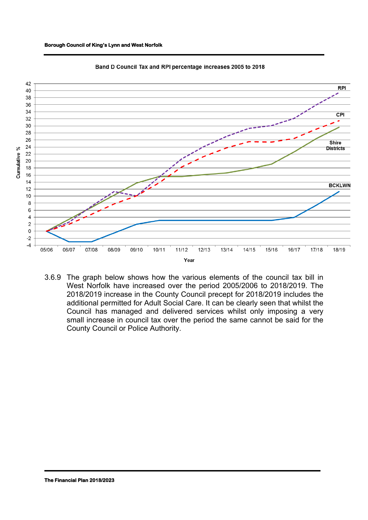



Band D Council Tax and RPI percentage increases 2005 to 2018

3.6.9 The graph below shows how the various elements of the council tax bill in West Norfolk have increased over the period 2005/2006 to 2018/2019. The 2018/2019 increase in the County Council precept for 2018/2019 includes the additional permitted for Adult Social Care. It can be clearly seen that whilst the Council has managed and delivered services whilst only imposing a very small increase in council tax over the period the same cannot be said for the County Council or Police Authority.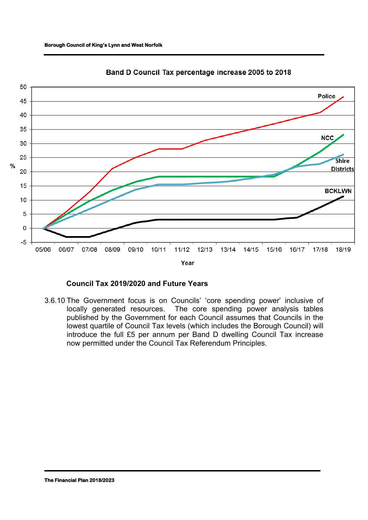#### **Borough Council of King's Lynn and West Norfolk**



Band D Council Tax percentage increase 2005 to 2018

# **Council Tax 2019/2020 and Future Years**

3.6.10 The Government focus is on Councils' 'core spending power' inclusive of locally generated resources. The core spending power analysis tables published by the Government for each Council assumes that Councils in the lowest quartile of Council Tax levels (which includes the Borough Council) will introduce the full £5 per annum per Band D dwelling Council Tax increase now permitted under the Council Tax Referendum Principles.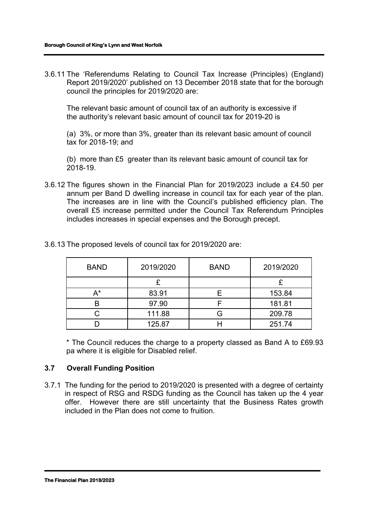3.6.11 The 'Referendums Relating to Council Tax Increase (Principles) (England) Report 2019/2020' published on 13 December 2018 state that for the borough council the principles for 2019/2020 are:

The relevant basic amount of council tax of an authority is excessive if the authority's relevant basic amount of council tax for 2019-20 is

(a) 3%, or more than 3%, greater than its relevant basic amount of council tax for 2018-19; and

(b) more than £5 greater than its relevant basic amount of council tax for 2018-19.

3.6.12 The figures shown in the Financial Plan for 2019/2023 include a £4.50 per annum per Band D dwelling increase in council tax for each year of the plan. The increases are in line with the Council's published efficiency plan. The overall £5 increase permitted under the Council Tax Referendum Principles includes increases in special expenses and the Borough precept.

| <b>BAND</b> | 2019/2020 | <b>BAND</b> | 2019/2020 |
|-------------|-----------|-------------|-----------|
|             |           |             |           |
| A*          | 83.91     |             | 153.84    |
|             | 97.90     |             | 181.81    |
|             | 111.88    |             | 209.78    |
|             | 125.87    |             | 251.74    |

3.6.13 The proposed levels of council tax for 2019/2020 are:

\* The Council reduces the charge to a property classed as Band A to £69.93 pa where it is eligible for Disabled relief.

# **3.7 Overall Funding Position**

3.7.1 The funding for the period to 2019/2020 is presented with a degree of certainty in respect of RSG and RSDG funding as the Council has taken up the 4 year offer. However there are still uncertainty that the Business Rates growth included in the Plan does not come to fruition.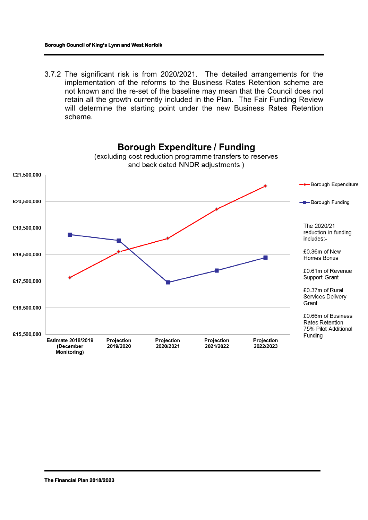3.7.2 The significant risk is from 2020/2021. The detailed arrangements for the implementation of the reforms to the Business Rates Retention scheme are not known and the re-set of the baseline may mean that the Council does not retain all the growth currently included in the Plan. The Fair Funding Review will determine the starting point under the new Business Rates Retention scheme.

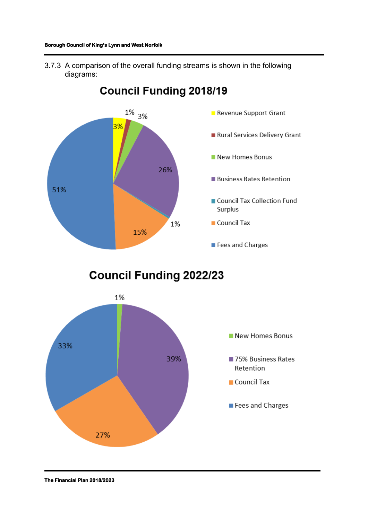3.7.3 A comparison of the overall funding streams is shown in the following diagrams:



# **Council Funding 2018/19**

**Council Funding 2022/23** 

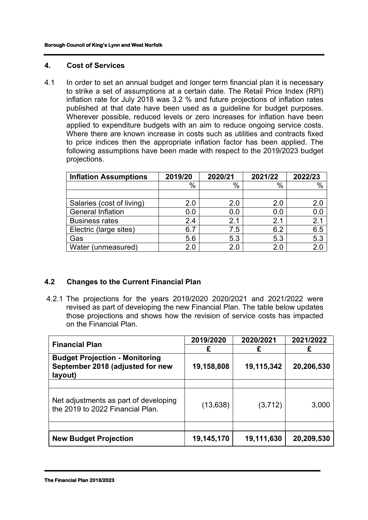#### **4. Cost of Services**

4.1 In order to set an annual budget and longer term financial plan it is necessary to strike a set of assumptions at a certain date. The Retail Price Index (RPI) inflation rate for July 2018 was 3.2 % and future projections of inflation rates published at that date have been used as a guideline for budget purposes. Wherever possible, reduced levels or zero increases for inflation have been applied to expenditure budgets with an aim to reduce ongoing service costs. Where there are known increase in costs such as utilities and contracts fixed to price indices then the appropriate inflation factor has been applied. The following assumptions have been made with respect to the 2019/2023 budget projections.

| <b>Inflation Assumptions</b> | 2019/20 | 2020/21 | 2021/22 | 2022/23 |
|------------------------------|---------|---------|---------|---------|
|                              | $\%$    | $\%$    | %       | %       |
|                              |         |         |         |         |
| Salaries (cost of living)    | 2.0     | 2.0     | 2.0     | 2.0     |
| <b>General Inflation</b>     | 0.0     | 0.0     | 0.0     | 0.0     |
| <b>Business rates</b>        | 2.4     | 2.1     | 2.1     | 2.1     |
| Electric (large sites)       | 6.7     | 7.5     | 6.2     | 6.5     |
| Gas                          | 5.6     | 5.3     | 5.3     | 5.3     |
| Water (unmeasured)           | 2.0     | 2.0     |         | 2.0     |

# **4.2 Changes to the Current Financial Plan**

4.2.1 The projections for the years 2019/2020 2020/2021 and 2021/2022 were revised as part of developing the new Financial Plan. The table below updates those projections and shows how the revision of service costs has impacted on the Financial Plan.

| <b>Financial Plan</b>                                                                | 2019/2020  | 2020/2021  | 2021/2022  |  |
|--------------------------------------------------------------------------------------|------------|------------|------------|--|
|                                                                                      | £          |            | £          |  |
| <b>Budget Projection - Monitoring</b><br>September 2018 (adjusted for new<br>layout) | 19,158,808 | 19,115,342 | 20,206,530 |  |
|                                                                                      |            |            |            |  |
| Net adjustments as part of developing<br>the 2019 to 2022 Financial Plan.            | (13, 638)  | (3,712)    | 3,000      |  |
|                                                                                      |            |            |            |  |
| <b>New Budget Projection</b>                                                         | 19,145,170 | 19,111,630 | 20,209,530 |  |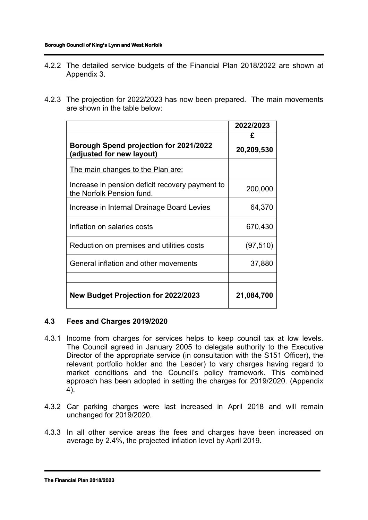- 4.2.2 The detailed service budgets of the Financial Plan 2018/2022 are shown at Appendix 3.
- 4.2.3 The projection for 2022/2023 has now been prepared. The main movements are shown in the table below:

|                                                                              | 2022/2023  |
|------------------------------------------------------------------------------|------------|
|                                                                              | £          |
| Borough Spend projection for 2021/2022<br>(adjusted for new layout)          | 20,209,530 |
| <u>The main changes to the Plan are:</u>                                     |            |
| Increase in pension deficit recovery payment to<br>the Norfolk Pension fund. | 200,000    |
| Increase in Internal Drainage Board Levies                                   | 64,370     |
| Inflation on salaries costs                                                  | 670,430    |
| Reduction on premises and utilities costs                                    | (97, 510)  |
| General inflation and other movements                                        | 37,880     |
|                                                                              |            |
| <b>New Budget Projection for 2022/2023</b>                                   | 21,084,700 |

# **4.3 Fees and Charges 2019/2020**

- 4.3.1 Income from charges for services helps to keep council tax at low levels. The Council agreed in January 2005 to delegate authority to the Executive Director of the appropriate service (in consultation with the S151 Officer), the relevant portfolio holder and the Leader) to vary charges having regard to market conditions and the Council's policy framework. This combined approach has been adopted in setting the charges for 2019/2020. (Appendix 4).
- 4.3.2 Car parking charges were last increased in April 2018 and will remain unchanged for 2019/2020.
- 4.3.3 In all other service areas the fees and charges have been increased on average by 2.4%, the projected inflation level by April 2019.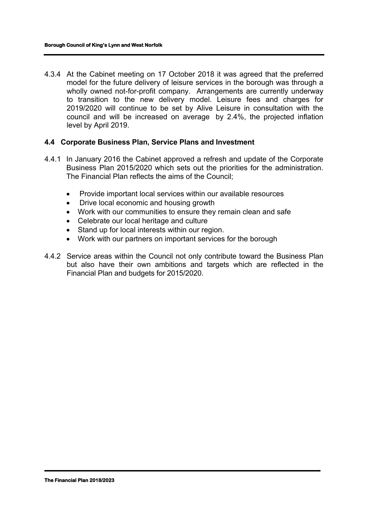4.3.4 At the Cabinet meeting on 17 October 2018 it was agreed that the preferred model for the future delivery of leisure services in the borough was through a wholly owned not-for-profit company. Arrangements are currently underway to transition to the new delivery model. Leisure fees and charges for 2019/2020 will continue to be set by Alive Leisure in consultation with the council and will be increased on average by 2.4%, the projected inflation level by April 2019.

#### **4.4 Corporate Business Plan, Service Plans and Investment**

- 4.4.1 In January 2016 the Cabinet approved a refresh and update of the Corporate Business Plan 2015/2020 which sets out the priorities for the administration. The Financial Plan reflects the aims of the Council;
	- Provide important local services within our available resources
	- Drive local economic and housing growth
	- Work with our communities to ensure they remain clean and safe
	- Celebrate our local heritage and culture
	- Stand up for local interests within our region.
	- Work with our partners on important services for the borough
- 4.4.2 Service areas within the Council not only contribute toward the Business Plan but also have their own ambitions and targets which are reflected in the Financial Plan and budgets for 2015/2020.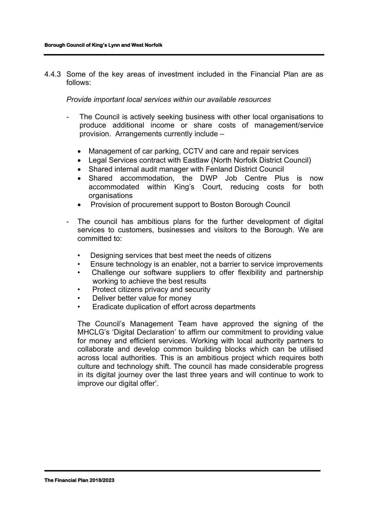4.4.3 Some of the key areas of investment included in the Financial Plan are as follows:

*Provide important local services within our available resources*

- The Council is actively seeking business with other local organisations to produce additional income or share costs of management/service provision. Arrangements currently include –
	- Management of car parking, CCTV and care and repair services
	- Legal Services contract with Eastlaw (North Norfolk District Council)
	- Shared internal audit manager with Fenland District Council
	- Shared accommodation, the DWP Job Centre Plus is now accommodated within King's Court, reducing costs for both organisations
	- Provision of procurement support to Boston Borough Council
- The council has ambitious plans for the further development of digital services to customers, businesses and visitors to the Borough. We are committed to:
	- Designing services that best meet the needs of citizens
	- Ensure technology is an enabler, not a barrier to service improvements
	- Challenge our software suppliers to offer flexibility and partnership working to achieve the best results
	- Protect citizens privacy and security
	- Deliver better value for money
	- Eradicate duplication of effort across departments

The Council's Management Team have approved the signing of the MHCLG's 'Digital Declaration' to affirm our commitment to providing value for money and efficient services. Working with local authority partners to collaborate and develop common building blocks which can be utilised across local authorities. This is an ambitious project which requires both culture and technology shift. The council has made considerable progress in its digital journey over the last three years and will continue to work to improve our digital offer'.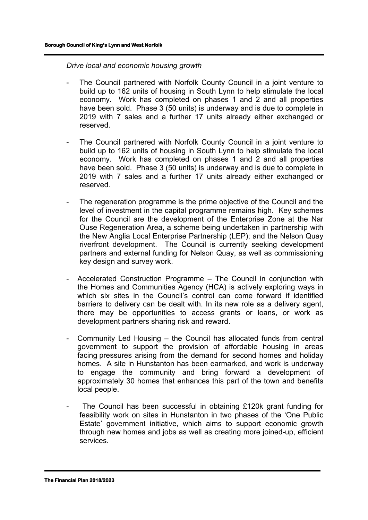*Drive local and economic housing growth*

- The Council partnered with Norfolk County Council in a joint venture to build up to 162 units of housing in South Lynn to help stimulate the local economy. Work has completed on phases 1 and 2 and all properties have been sold. Phase 3 (50 units) is underway and is due to complete in 2019 with 7 sales and a further 17 units already either exchanged or reserved.
- The Council partnered with Norfolk County Council in a joint venture to build up to 162 units of housing in South Lynn to help stimulate the local economy. Work has completed on phases 1 and 2 and all properties have been sold. Phase 3 (50 units) is underway and is due to complete in 2019 with 7 sales and a further 17 units already either exchanged or reserved.
- The regeneration programme is the prime objective of the Council and the level of investment in the capital programme remains high. Key schemes for the Council are the development of the Enterprise Zone at the Nar Ouse Regeneration Area, a scheme being undertaken in partnership with the New Anglia Local Enterprise Partnership (LEP); and the Nelson Quay riverfront development. The Council is currently seeking development partners and external funding for Nelson Quay, as well as commissioning key design and survey work.
- Accelerated Construction Programme The Council in conjunction with the Homes and Communities Agency (HCA) is actively exploring ways in which six sites in the Council's control can come forward if identified barriers to delivery can be dealt with. In its new role as a delivery agent, there may be opportunities to access grants or loans, or work as development partners sharing risk and reward.
- Community Led Housing the Council has allocated funds from central government to support the provision of affordable housing in areas facing pressures arising from the demand for second homes and holiday homes. A site in Hunstanton has been earmarked, and work is underway to engage the community and bring forward a development of approximately 30 homes that enhances this part of the town and benefits local people.
- The Council has been successful in obtaining £120k grant funding for feasibility work on sites in Hunstanton in two phases of the 'One Public Estate' government initiative, which aims to support economic growth through new homes and jobs as well as creating more joined-up, efficient services.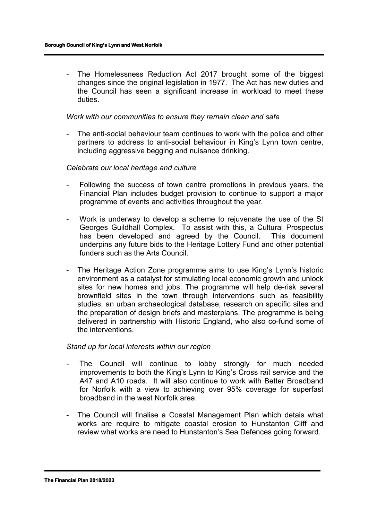- The Homelessness Reduction Act 2017 brought some of the biggest changes since the original legislation in 1977. The Act has new duties and the Council has seen a significant increase in workload to meet these duties.

#### *Work with our communities to ensure they remain clean and safe*

- The anti-social behaviour team continues to work with the police and other partners to address to anti-social behaviour in King's Lynn town centre, including aggressive begging and nuisance drinking.

#### *Celebrate our local heritage and culture*

- Following the success of town centre promotions in previous years, the Financial Plan includes budget provision to continue to support a major programme of events and activities throughout the year.
- Work is underway to develop a scheme to rejuvenate the use of the St Georges Guildhall Complex. To assist with this, a Cultural Prospectus has been developed and agreed by the Council. This document underpins any future bids to the Heritage Lottery Fund and other potential funders such as the Arts Council.
- The Heritage Action Zone programme aims to use King's Lynn's historic environment as a catalyst for stimulating local economic growth and unlock sites for new homes and jobs. The programme will help de-risk several brownfield sites in the town through interventions such as feasibility studies, an urban archaeological database, research on specific sites and the preparation of design briefs and masterplans. The programme is being delivered in partnership with Historic England, who also co-fund some of the interventions.

#### *Stand up for local interests within our region*

- The Council will continue to lobby strongly for much needed improvements to both the King's Lynn to King's Cross rail service and the A47 and A10 roads. It will also continue to work with Better Broadband for Norfolk with a view to achieving over 95% coverage for superfast broadband in the west Norfolk area.
- The Council will finalise a Coastal Management Plan which detais what works are require to mitigate coastal erosion to Hunstanton Cliff and review what works are need to Hunstanton's Sea Defences going forward.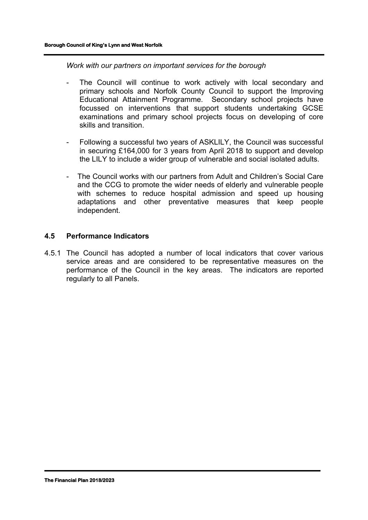*Work with our partners on important services for the borough*

- The Council will continue to work actively with local secondary and primary schools and Norfolk County Council to support the Improving Educational Attainment Programme. Secondary school projects have focussed on interventions that support students undertaking GCSE examinations and primary school projects focus on developing of core skills and transition.
- Following a successful two years of ASKLILY, the Council was successful in securing £164,000 for 3 years from April 2018 to support and develop the LILY to include a wider group of vulnerable and social isolated adults.
- The Council works with our partners from Adult and Children's Social Care and the CCG to promote the wider needs of elderly and vulnerable people with schemes to reduce hospital admission and speed up housing adaptations and other preventative measures that keep people independent.

#### **4.5 Performance Indicators**

4.5.1 The Council has adopted a number of local indicators that cover various service areas and are considered to be representative measures on the performance of the Council in the key areas. The indicators are reported regularly to all Panels.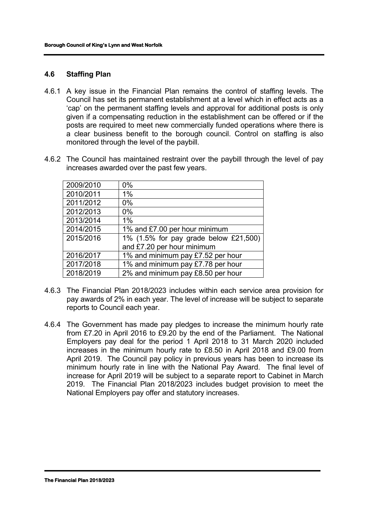# **4.6 Staffing Plan**

- 4.6.1 A key issue in the Financial Plan remains the control of staffing levels. The Council has set its permanent establishment at a level which in effect acts as a 'cap' on the permanent staffing levels and approval for additional posts is only given if a compensating reduction in the establishment can be offered or if the posts are required to meet new commercially funded operations where there is a clear business benefit to the borough council. Control on staffing is also monitored through the level of the paybill.
- 4.6.2 The Council has maintained restraint over the paybill through the level of pay increases awarded over the past few years.

| 2009/2010 | $0\%$                                 |
|-----------|---------------------------------------|
| 2010/2011 | 1%                                    |
| 2011/2012 | $0\%$                                 |
| 2012/2013 | $0\%$                                 |
| 2013/2014 | 1%                                    |
| 2014/2015 | 1% and £7.00 per hour minimum         |
| 2015/2016 | 1% (1.5% for pay grade below £21,500) |
|           | and £7.20 per hour minimum            |
| 2016/2017 | 1% and minimum pay £7.52 per hour     |
| 2017/2018 | 1% and minimum pay £7.78 per hour     |
| 2018/2019 | 2% and minimum pay £8.50 per hour     |

- 4.6.3 The Financial Plan 2018/2023 includes within each service area provision for pay awards of 2% in each year. The level of increase will be subject to separate reports to Council each year.
- 4.6.4 The Government has made pay pledges to increase the minimum hourly rate from £7.20 in April 2016 to £9.20 by the end of the Parliament. The National Employers pay deal for the period 1 April 2018 to 31 March 2020 included increases in the minimum hourly rate to £8.50 in April 2018 and £9.00 from April 2019. The Council pay policy in previous years has been to increase its minimum hourly rate in line with the National Pay Award. The final level of increase for April 2019 will be subject to a separate report to Cabinet in March 2019. The Financial Plan 2018/2023 includes budget provision to meet the National Employers pay offer and statutory increases.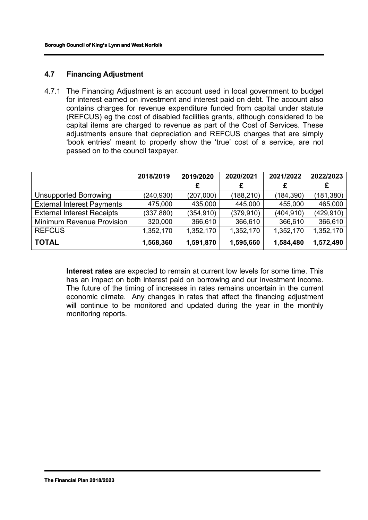# **4.7 Financing Adjustment**

4.7.1 The Financing Adjustment is an account used in local government to budget for interest earned on investment and interest paid on debt. The account also contains charges for revenue expenditure funded from capital under statute (REFCUS) eg the cost of disabled facilities grants, although considered to be capital items are charged to revenue as part of the Cost of Services. These adjustments ensure that depreciation and REFCUS charges that are simply 'book entries' meant to properly show the 'true' cost of a service, are not passed on to the council taxpayer.

|                                   | 2018/2019  | 2019/2020  | 2020/2021  | 2021/2022  | 2022/2023  |
|-----------------------------------|------------|------------|------------|------------|------------|
|                                   |            |            |            | £          | £          |
| <b>Unsupported Borrowing</b>      | (240,930)  | (207,000)  | (188, 210) | (184, 390) | (181, 380) |
| <b>External Interest Payments</b> | 475,000    | 435,000    | 445,000    | 455,000    | 465,000    |
| <b>External Interest Receipts</b> | (337, 880) | (354, 910) | (379, 910) | (404, 910) | (429, 910) |
| <b>Minimum Revenue Provision</b>  | 320,000    | 366,610    | 366,610    | 366,610    | 366,610    |
| <b>REFCUS</b>                     | 1,352,170  | 1,352,170  | 1,352,170  | 1,352,170  | 1,352,170  |
| <b>TOTAL</b>                      | 1,568,360  | 1,591,870  | 1,595,660  | 1,584,480  | 1,572,490  |

**Interest rates** are expected to remain at current low levels for some time. This has an impact on both interest paid on borrowing and our investment income. The future of the timing of increases in rates remains uncertain in the current economic climate. Any changes in rates that affect the financing adjustment will continue to be monitored and updated during the year in the monthly monitoring reports.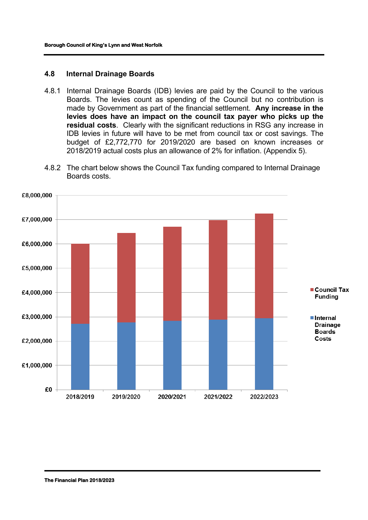#### **4.8 Internal Drainage Boards**

- 4.8.1 Internal Drainage Boards (IDB) levies are paid by the Council to the various Boards. The levies count as spending of the Council but no contribution is made by Government as part of the financial settlement. **Any increase in the levies does have an impact on the council tax payer who picks up the residual costs**. Clearly with the significant reductions in RSG any increase in IDB levies in future will have to be met from council tax or cost savings. The budget of £2,772,770 for 2019/2020 are based on known increases or 2018/2019 actual costs plus an allowance of 2% for inflation. (Appendix 5).
- 4.8.2 The chart below shows the Council Tax funding compared to Internal Drainage Boards costs.

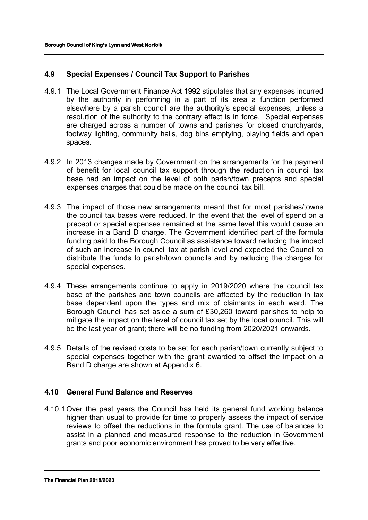# **4.9 Special Expenses / Council Tax Support to Parishes**

- 4.9.1 The Local Government Finance Act 1992 stipulates that any expenses incurred by the authority in performing in a part of its area a function performed elsewhere by a parish council are the authority's special expenses, unless a resolution of the authority to the contrary effect is in force. Special expenses are charged across a number of towns and parishes for closed churchyards, footway lighting, community halls, dog bins emptying, playing fields and open spaces.
- 4.9.2 In 2013 changes made by Government on the arrangements for the payment of benefit for local council tax support through the reduction in council tax base had an impact on the level of both parish/town precepts and special expenses charges that could be made on the council tax bill.
- 4.9.3 The impact of those new arrangements meant that for most parishes/towns the council tax bases were reduced. In the event that the level of spend on a precept or special expenses remained at the same level this would cause an increase in a Band D charge. The Government identified part of the formula funding paid to the Borough Council as assistance toward reducing the impact of such an increase in council tax at parish level and expected the Council to distribute the funds to parish/town councils and by reducing the charges for special expenses.
- 4.9.4 These arrangements continue to apply in 2019/2020 where the council tax base of the parishes and town councils are affected by the reduction in tax base dependent upon the types and mix of claimants in each ward. The Borough Council has set aside a sum of £30,260 toward parishes to help to mitigate the impact on the level of council tax set by the local council. This will be the last year of grant; there will be no funding from 2020/2021 onwards**.**
- 4.9.5 Details of the revised costs to be set for each parish/town currently subject to special expenses together with the grant awarded to offset the impact on a Band D charge are shown at Appendix 6.

# **4.10 General Fund Balance and Reserves**

4.10.1 Over the past years the Council has held its general fund working balance higher than usual to provide for time to properly assess the impact of service reviews to offset the reductions in the formula grant. The use of balances to assist in a planned and measured response to the reduction in Government grants and poor economic environment has proved to be very effective.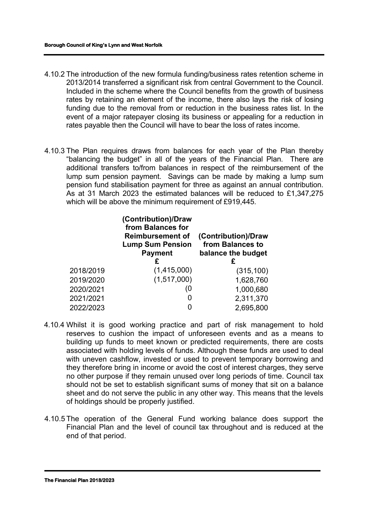- 4.10.2 The introduction of the new formula funding/business rates retention scheme in 2013/2014 transferred a significant risk from central Government to the Council. Included in the scheme where the Council benefits from the growth of business rates by retaining an element of the income, there also lays the risk of losing funding due to the removal from or reduction in the business rates list. In the event of a major ratepayer closing its business or appealing for a reduction in rates payable then the Council will have to bear the loss of rates income.
- 4.10.3 The Plan requires draws from balances for each year of the Plan thereby "balancing the budget" in all of the years of the Financial Plan. There are additional transfers to/from balances in respect of the reimbursement of the lump sum pension payment. Savings can be made by making a lump sum pension fund stabilisation payment for three as against an annual contribution. As at 31 March 2023 the estimated balances will be reduced to £1,347,275 which will be above the minimum requirement of £919,445.

|           | (Contribution)/Draw<br>from Balances for<br><b>Reimbursement of</b><br><b>Lump Sum Pension</b><br><b>Payment</b><br>£ | (Contribution)/Draw<br>from Balances to<br>balance the budget |
|-----------|-----------------------------------------------------------------------------------------------------------------------|---------------------------------------------------------------|
| 2018/2019 | (1,415,000)                                                                                                           | (315, 100)                                                    |
| 2019/2020 | (1,517,000)                                                                                                           | 1,628,760                                                     |
| 2020/2021 | (0                                                                                                                    | 1,000,680                                                     |
| 2021/2021 | 0                                                                                                                     | 2,311,370                                                     |
| 2022/2023 | 0                                                                                                                     | 2,695,800                                                     |

- 4.10.4 Whilst it is good working practice and part of risk management to hold reserves to cushion the impact of unforeseen events and as a means to building up funds to meet known or predicted requirements, there are costs associated with holding levels of funds. Although these funds are used to deal with uneven cashflow, invested or used to prevent temporary borrowing and they therefore bring in income or avoid the cost of interest charges, they serve no other purpose if they remain unused over long periods of time. Council tax should not be set to establish significant sums of money that sit on a balance sheet and do not serve the public in any other way. This means that the levels of holdings should be properly justified.
- 4.10.5 The operation of the General Fund working balance does support the Financial Plan and the level of council tax throughout and is reduced at the end of that period.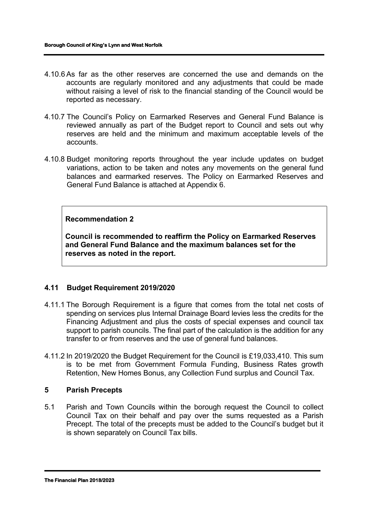- 4.10.6 As far as the other reserves are concerned the use and demands on the accounts are regularly monitored and any adjustments that could be made without raising a level of risk to the financial standing of the Council would be reported as necessary.
- 4.10.7 The Council's Policy on Earmarked Reserves and General Fund Balance is reviewed annually as part of the Budget report to Council and sets out why reserves are held and the minimum and maximum acceptable levels of the accounts.
- 4.10.8 Budget monitoring reports throughout the year include updates on budget variations, action to be taken and notes any movements on the general fund balances and earmarked reserves. The Policy on Earmarked Reserves and General Fund Balance is attached at Appendix 6.

# **Recommendation 2**

**Council is recommended to reaffirm the Policy on Earmarked Reserves and General Fund Balance and the maximum balances set for the reserves as noted in the report.** 

# **4.11 Budget Requirement 2019/2020**

- 4.11.1 The Borough Requirement is a figure that comes from the total net costs of spending on services plus Internal Drainage Board levies less the credits for the Financing Adjustment and plus the costs of special expenses and council tax support to parish councils. The final part of the calculation is the addition for any transfer to or from reserves and the use of general fund balances.
- 4.11.2 In 2019/2020 the Budget Requirement for the Council is £19,033,410. This sum is to be met from Government Formula Funding, Business Rates growth Retention, New Homes Bonus, any Collection Fund surplus and Council Tax.

#### **5 Parish Precepts**

5.1 Parish and Town Councils within the borough request the Council to collect Council Tax on their behalf and pay over the sums requested as a Parish Precept. The total of the precepts must be added to the Council's budget but it is shown separately on Council Tax bills.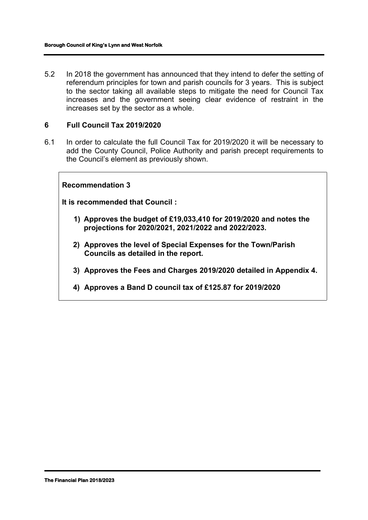5.2 In 2018 the government has announced that they intend to defer the setting of referendum principles for town and parish councils for 3 years. This is subject to the sector taking all available steps to mitigate the need for Council Tax increases and the government seeing clear evidence of restraint in the increases set by the sector as a whole.

#### **6 Full Council Tax 2019/2020**

6.1 In order to calculate the full Council Tax for 2019/2020 it will be necessary to add the County Council, Police Authority and parish precept requirements to the Council's element as previously shown.

#### **Recommendation 3**

**It is recommended that Council :**

- **1) Approves the budget of £19,033,410 for 2019/2020 and notes the projections for 2020/2021, 2021/2022 and 2022/2023.**
- **2) Approves the level of Special Expenses for the Town/Parish Councils as detailed in the report.**
- **3) Approves the Fees and Charges 2019/2020 detailed in Appendix 4.**
- **4) Approves a Band D council tax of £125.87 for 2019/2020**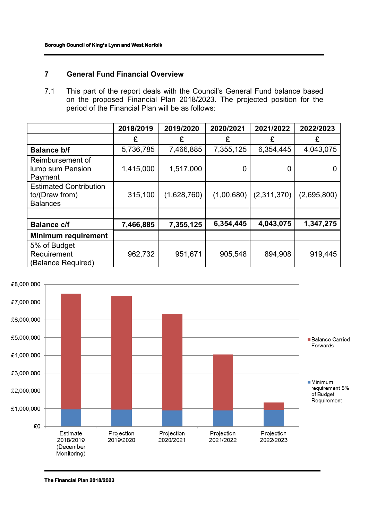# **7 General Fund Financial Overview**

7.1 This part of the report deals with the Council's General Fund balance based on the proposed Financial Plan 2018/2023. The projected position for the period of the Financial Plan will be as follows:

|                                                                    | 2018/2019 | 2019/2020   | 2020/2021  | 2021/2022   | 2022/2023   |
|--------------------------------------------------------------------|-----------|-------------|------------|-------------|-------------|
|                                                                    | £         | £           | £          | £           | £           |
| <b>Balance b/f</b>                                                 | 5,736,785 | 7,466,885   | 7,355,125  | 6,354,445   | 4,043,075   |
| Reimbursement of<br>lump sum Pension<br>Payment                    | 1,415,000 | 1,517,000   | 0          | 0           | 0           |
| <b>Estimated Contribution</b><br>to/(Draw from)<br><b>Balances</b> | 315,100   | (1,628,760) | (1,00,680) | (2,311,370) | (2,695,800) |
|                                                                    |           |             |            |             |             |
| <b>Balance c/f</b>                                                 | 7,466,885 | 7,355,125   | 6,354,445  | 4,043,075   | 1,347,275   |
| <b>Minimum requirement</b>                                         |           |             |            |             |             |
| 5% of Budget<br>Requirement<br>(Balance Required)                  | 962,732   | 951,671     | 905,548    | 894,908     | 919,445     |



**The Financial Plan 2018/2023**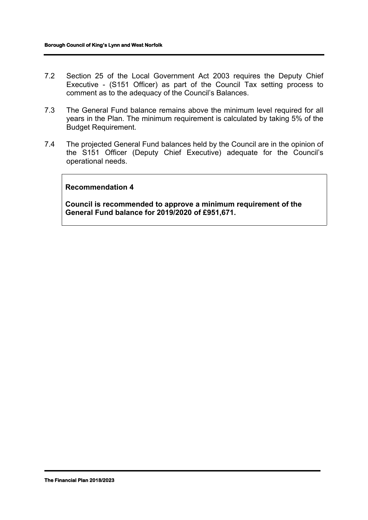- 7.2 Section 25 of the Local Government Act 2003 requires the Deputy Chief Executive - (S151 Officer) as part of the Council Tax setting process to comment as to the adequacy of the Council's Balances.
- 7.3 The General Fund balance remains above the minimum level required for all years in the Plan. The minimum requirement is calculated by taking 5% of the Budget Requirement.
- 7.4 The projected General Fund balances held by the Council are in the opinion of the S151 Officer (Deputy Chief Executive) adequate for the Council's operational needs.

#### **Recommendation 4**

**Council is recommended to approve a minimum requirement of the General Fund balance for 2019/2020 of £951,671.**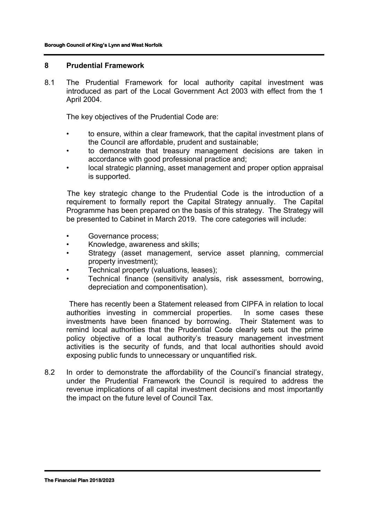#### **8 Prudential Framework**

8.1 The Prudential Framework for local authority capital investment was introduced as part of the Local Government Act 2003 with effect from the 1 April 2004.

The key objectives of the Prudential Code are:

- to ensure, within a clear framework, that the capital investment plans of the Council are affordable, prudent and sustainable;
- to demonstrate that treasury management decisions are taken in accordance with good professional practice and;
- local strategic planning, asset management and proper option appraisal is supported.

 The key strategic change to the Prudential Code is the introduction of a requirement to formally report the Capital Strategy annually. The Capital Programme has been prepared on the basis of this strategy. The Strategy will be presented to Cabinet in March 2019. The core categories will include:

- Governance process:
- Knowledge, awareness and skills;
- Strategy (asset management, service asset planning, commercial property investment);
- Technical property (valuations, leases);
- Technical finance (sensitivity analysis, risk assessment, borrowing, depreciation and componentisation).

 There has recently been a Statement released from CIPFA in relation to local authorities investing in commercial properties. In some cases these investments have been financed by borrowing. Their Statement was to remind local authorities that the Prudential Code clearly sets out the prime policy objective of a local authority's treasury management investment activities is the security of funds, and that local authorities should avoid exposing public funds to unnecessary or unquantified risk.

8.2 In order to demonstrate the affordability of the Council's financial strategy, under the Prudential Framework the Council is required to address the revenue implications of all capital investment decisions and most importantly the impact on the future level of Council Tax.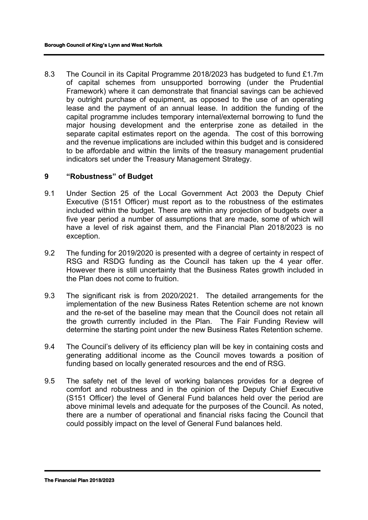8.3 The Council in its Capital Programme 2018/2023 has budgeted to fund £1.7m of capital schemes from unsupported borrowing (under the Prudential Framework) where it can demonstrate that financial savings can be achieved by outright purchase of equipment, as opposed to the use of an operating lease and the payment of an annual lease. In addition the funding of the capital programme includes temporary internal/external borrowing to fund the major housing development and the enterprise zone as detailed in the separate capital estimates report on the agenda. The cost of this borrowing and the revenue implications are included within this budget and is considered to be affordable and within the limits of the treasury management prudential indicators set under the Treasury Management Strategy.

#### **9 "Robustness" of Budget**

- 9.1 Under Section 25 of the Local Government Act 2003 the Deputy Chief Executive (S151 Officer) must report as to the robustness of the estimates included within the budget. There are within any projection of budgets over a five year period a number of assumptions that are made, some of which will have a level of risk against them, and the Financial Plan 2018/2023 is no exception.
- 9.2 The funding for 2019/2020 is presented with a degree of certainty in respect of RSG and RSDG funding as the Council has taken up the 4 year offer. However there is still uncertainty that the Business Rates growth included in the Plan does not come to fruition.
- 9.3 The significant risk is from 2020/2021. The detailed arrangements for the implementation of the new Business Rates Retention scheme are not known and the re-set of the baseline may mean that the Council does not retain all the growth currently included in the Plan. The Fair Funding Review will determine the starting point under the new Business Rates Retention scheme.
- 9.4 The Council's delivery of its efficiency plan will be key in containing costs and generating additional income as the Council moves towards a position of funding based on locally generated resources and the end of RSG.
- 9.5 The safety net of the level of working balances provides for a degree of comfort and robustness and in the opinion of the Deputy Chief Executive (S151 Officer) the level of General Fund balances held over the period are above minimal levels and adequate for the purposes of the Council. As noted, there are a number of operational and financial risks facing the Council that could possibly impact on the level of General Fund balances held.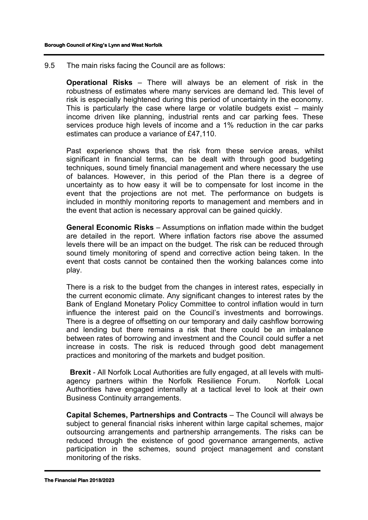9.5 The main risks facing the Council are as follows:

**Operational Risks** – There will always be an element of risk in the robustness of estimates where many services are demand led. This level of risk is especially heightened during this period of uncertainty in the economy. This is particularly the case where large or volatile budgets exist – mainly income driven like planning, industrial rents and car parking fees. These services produce high levels of income and a 1% reduction in the car parks estimates can produce a variance of £47,110.

Past experience shows that the risk from these service areas, whilst significant in financial terms, can be dealt with through good budgeting techniques, sound timely financial management and where necessary the use of balances. However, in this period of the Plan there is a degree of uncertainty as to how easy it will be to compensate for lost income in the event that the projections are not met. The performance on budgets is included in monthly monitoring reports to management and members and in the event that action is necessary approval can be gained quickly.

**General Economic Risks** – Assumptions on inflation made within the budget are detailed in the report. Where inflation factors rise above the assumed levels there will be an impact on the budget. The risk can be reduced through sound timely monitoring of spend and corrective action being taken. In the event that costs cannot be contained then the working balances come into play.

There is a risk to the budget from the changes in interest rates, especially in the current economic climate. Any significant changes to interest rates by the Bank of England Monetary Policy Committee to control inflation would in turn influence the interest paid on the Council's investments and borrowings. There is a degree of offsetting on our temporary and daily cashflow borrowing and lending but there remains a risk that there could be an imbalance between rates of borrowing and investment and the Council could suffer a net increase in costs. The risk is reduced through good debt management practices and monitoring of the markets and budget position.

**Brexit** - All Norfolk Local Authorities are fully engaged, at all levels with multiagency partners within the Norfolk Resilience Forum. Norfolk Local Authorities have engaged internally at a tactical level to look at their own Business Continuity arrangements.

**Capital Schemes, Partnerships and Contracts** – The Council will always be subject to general financial risks inherent within large capital schemes, major outsourcing arrangements and partnership arrangements. The risks can be reduced through the existence of good governance arrangements, active participation in the schemes, sound project management and constant monitoring of the risks.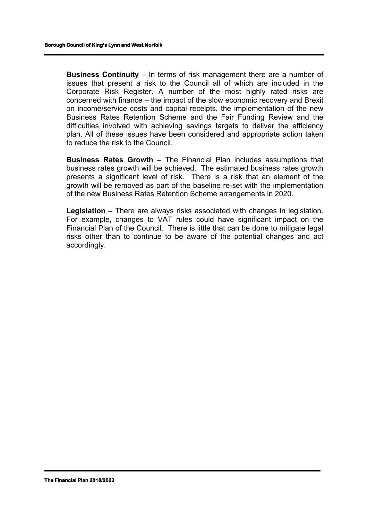**Business Continuity** – In terms of risk management there are a number of issues that present a risk to the Council all of which are included in the Corporate Risk Register. A number of the most highly rated risks are concerned with finance – the impact of the slow economic recovery and Brexit on income/service costs and capital receipts, the implementation of the new Business Rates Retention Scheme and the Fair Funding Review and the difficulties involved with achieving savings targets to deliver the efficiency plan. All of these issues have been considered and appropriate action taken to reduce the risk to the Council.

**Business Rates Growth –** The Financial Plan includes assumptions that business rates growth will be achieved. The estimated business rates growth presents a significant level of risk. There is a risk that an element of the growth will be removed as part of the baseline re-set with the implementation of the new Business Rates Retention Scheme arrangements in 2020.

**Legislation –** There are always risks associated with changes in legislation. For example, changes to VAT rules could have significant impact on the Financial Plan of the Council. There is little that can be done to mitigate legal risks other than to continue to be aware of the potential changes and act accordingly.